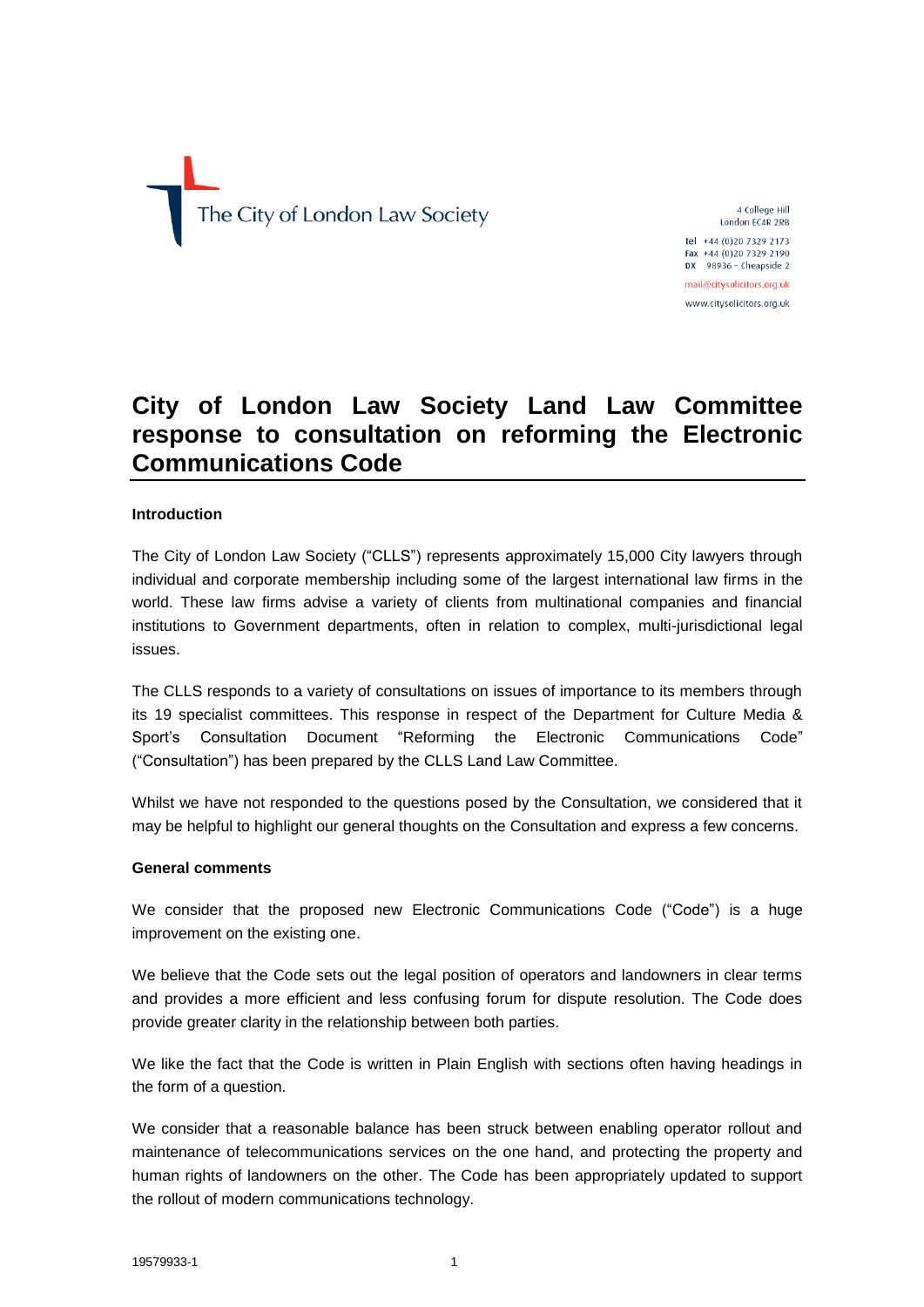The City of London Law Society

4 College Hill London EC4R 2RB

Tel +44 (0)20 7329 2173 Fax +44 (0)20 7329 2190 DX  $98936 -$  Cheapside 2 mail@citysolicitors.org.uk

www.citysolicitors.org.uk

# **City of London Law Society Land Law Committee response to consultation on reforming the Electronic Communications Code**

## **Introduction**

The City of London Law Society ("CLLS") represents approximately 15,000 City lawyers through individual and corporate membership including some of the largest international law firms in the world. These law firms advise a variety of clients from multinational companies and financial institutions to Government departments, often in relation to complex, multi-jurisdictional legal issues.

The CLLS responds to a variety of consultations on issues of importance to its members through its 19 specialist committees. This response in respect of the Department for Culture Media & Sport's Consultation Document "Reforming the Electronic Communications Code" ("Consultation") has been prepared by the CLLS Land Law Committee.

Whilst we have not responded to the questions posed by the Consultation, we considered that it may be helpful to highlight our general thoughts on the Consultation and express a few concerns.

## **General comments**

We consider that the proposed new Electronic Communications Code ("Code") is a huge improvement on the existing one.

We believe that the Code sets out the legal position of operators and landowners in clear terms and provides a more efficient and less confusing forum for dispute resolution. The Code does provide greater clarity in the relationship between both parties.

We like the fact that the Code is written in Plain English with sections often having headings in the form of a question.

We consider that a reasonable balance has been struck between enabling operator rollout and maintenance of telecommunications services on the one hand, and protecting the property and human rights of landowners on the other. The Code has been appropriately updated to support the rollout of modern communications technology.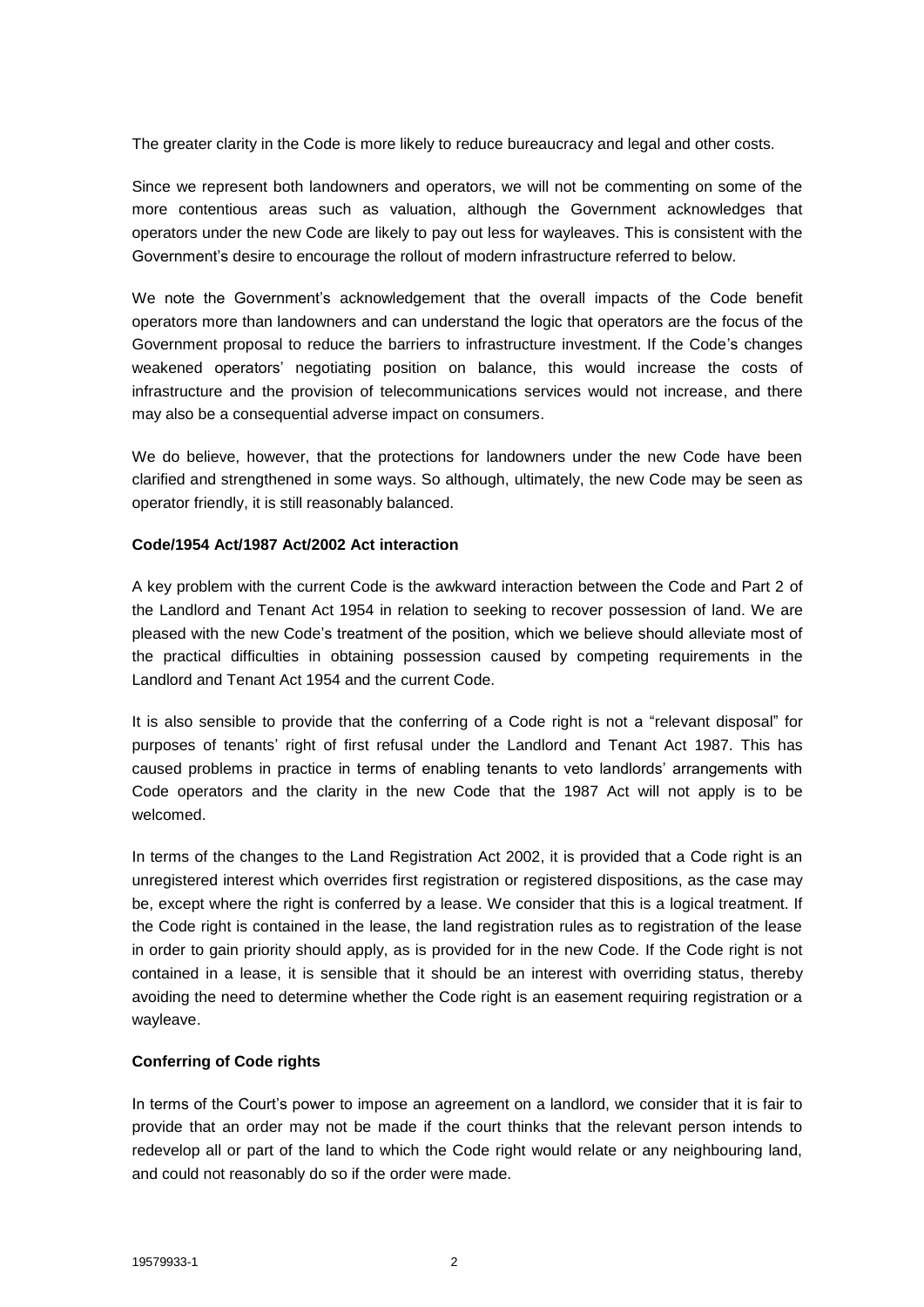The greater clarity in the Code is more likely to reduce bureaucracy and legal and other costs.

Since we represent both landowners and operators, we will not be commenting on some of the more contentious areas such as valuation, although the Government acknowledges that operators under the new Code are likely to pay out less for wayleaves. This is consistent with the Government's desire to encourage the rollout of modern infrastructure referred to below.

We note the Government's acknowledgement that the overall impacts of the Code benefit operators more than landowners and can understand the logic that operators are the focus of the Government proposal to reduce the barriers to infrastructure investment. If the Code's changes weakened operators' negotiating position on balance, this would increase the costs of infrastructure and the provision of telecommunications services would not increase, and there may also be a consequential adverse impact on consumers.

We do believe, however, that the protections for landowners under the new Code have been clarified and strengthened in some ways. So although, ultimately, the new Code may be seen as operator friendly, it is still reasonably balanced.

#### **Code/1954 Act/1987 Act/2002 Act interaction**

A key problem with the current Code is the awkward interaction between the Code and Part 2 of the Landlord and Tenant Act 1954 in relation to seeking to recover possession of land. We are pleased with the new Code's treatment of the position, which we believe should alleviate most of the practical difficulties in obtaining possession caused by competing requirements in the Landlord and Tenant Act 1954 and the current Code.

It is also sensible to provide that the conferring of a Code right is not a "relevant disposal" for purposes of tenants' right of first refusal under the Landlord and Tenant Act 1987. This has caused problems in practice in terms of enabling tenants to veto landlords' arrangements with Code operators and the clarity in the new Code that the 1987 Act will not apply is to be welcomed.

In terms of the changes to the Land Registration Act 2002, it is provided that a Code right is an unregistered interest which overrides first registration or registered dispositions, as the case may be, except where the right is conferred by a lease. We consider that this is a logical treatment. If the Code right is contained in the lease, the land registration rules as to registration of the lease in order to gain priority should apply, as is provided for in the new Code. If the Code right is not contained in a lease, it is sensible that it should be an interest with overriding status, thereby avoiding the need to determine whether the Code right is an easement requiring registration or a wayleave.

## **Conferring of Code rights**

In terms of the Court's power to impose an agreement on a landlord, we consider that it is fair to provide that an order may not be made if the court thinks that the relevant person intends to redevelop all or part of the land to which the Code right would relate or any neighbouring land, and could not reasonably do so if the order were made.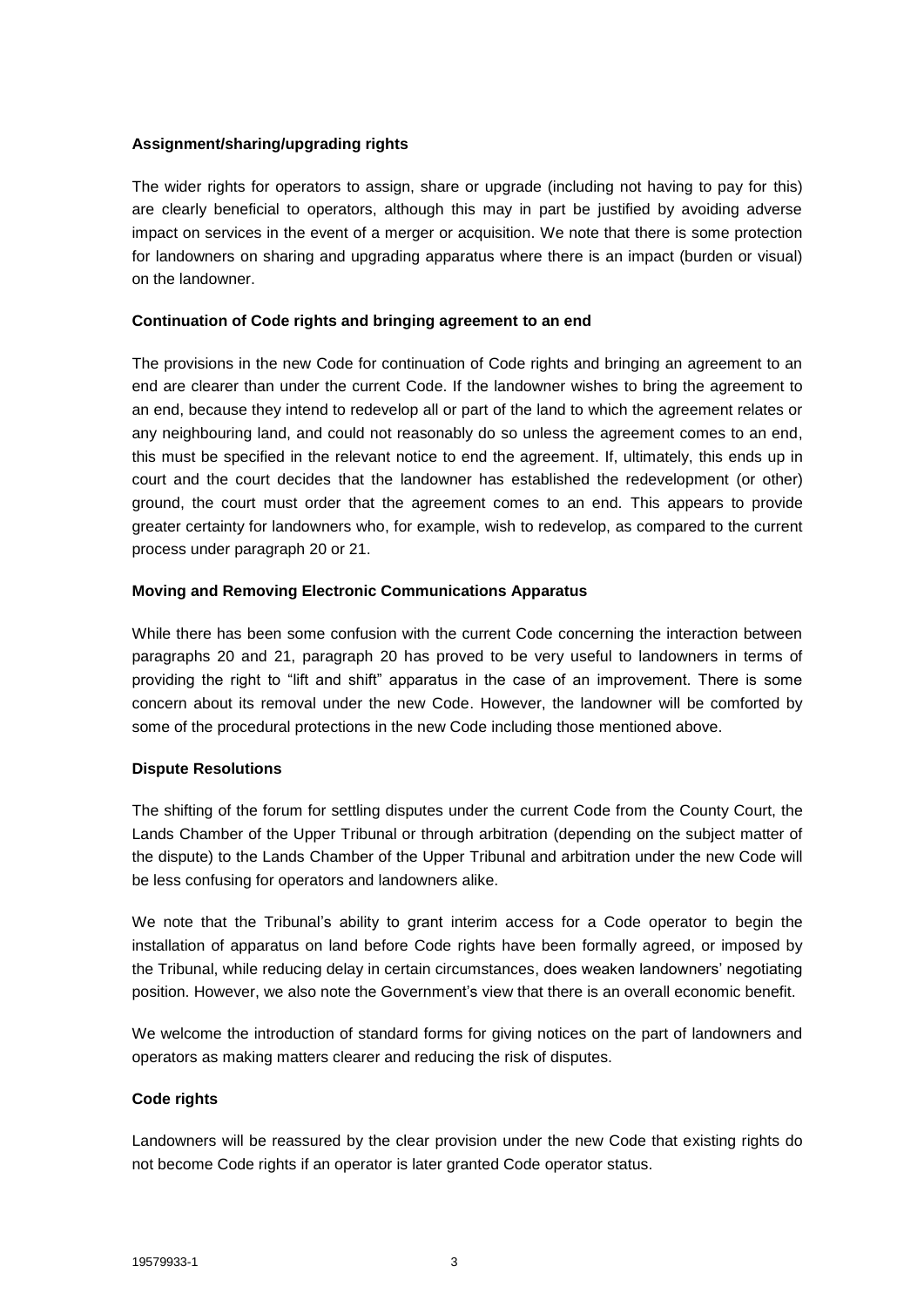## **Assignment/sharing/upgrading rights**

The wider rights for operators to assign, share or upgrade (including not having to pay for this) are clearly beneficial to operators, although this may in part be justified by avoiding adverse impact on services in the event of a merger or acquisition. We note that there is some protection for landowners on sharing and upgrading apparatus where there is an impact (burden or visual) on the landowner.

## **Continuation of Code rights and bringing agreement to an end**

The provisions in the new Code for continuation of Code rights and bringing an agreement to an end are clearer than under the current Code. If the landowner wishes to bring the agreement to an end, because they intend to redevelop all or part of the land to which the agreement relates or any neighbouring land, and could not reasonably do so unless the agreement comes to an end, this must be specified in the relevant notice to end the agreement. If, ultimately, this ends up in court and the court decides that the landowner has established the redevelopment (or other) ground, the court must order that the agreement comes to an end. This appears to provide greater certainty for landowners who, for example, wish to redevelop, as compared to the current process under paragraph 20 or 21.

## **Moving and Removing Electronic Communications Apparatus**

While there has been some confusion with the current Code concerning the interaction between paragraphs 20 and 21, paragraph 20 has proved to be very useful to landowners in terms of providing the right to "lift and shift" apparatus in the case of an improvement. There is some concern about its removal under the new Code. However, the landowner will be comforted by some of the procedural protections in the new Code including those mentioned above.

## **Dispute Resolutions**

The shifting of the forum for settling disputes under the current Code from the County Court, the Lands Chamber of the Upper Tribunal or through arbitration (depending on the subject matter of the dispute) to the Lands Chamber of the Upper Tribunal and arbitration under the new Code will be less confusing for operators and landowners alike.

We note that the Tribunal's ability to grant interim access for a Code operator to begin the installation of apparatus on land before Code rights have been formally agreed, or imposed by the Tribunal, while reducing delay in certain circumstances, does weaken landowners' negotiating position. However, we also note the Government's view that there is an overall economic benefit.

We welcome the introduction of standard forms for giving notices on the part of landowners and operators as making matters clearer and reducing the risk of disputes.

## **Code rights**

Landowners will be reassured by the clear provision under the new Code that existing rights do not become Code rights if an operator is later granted Code operator status.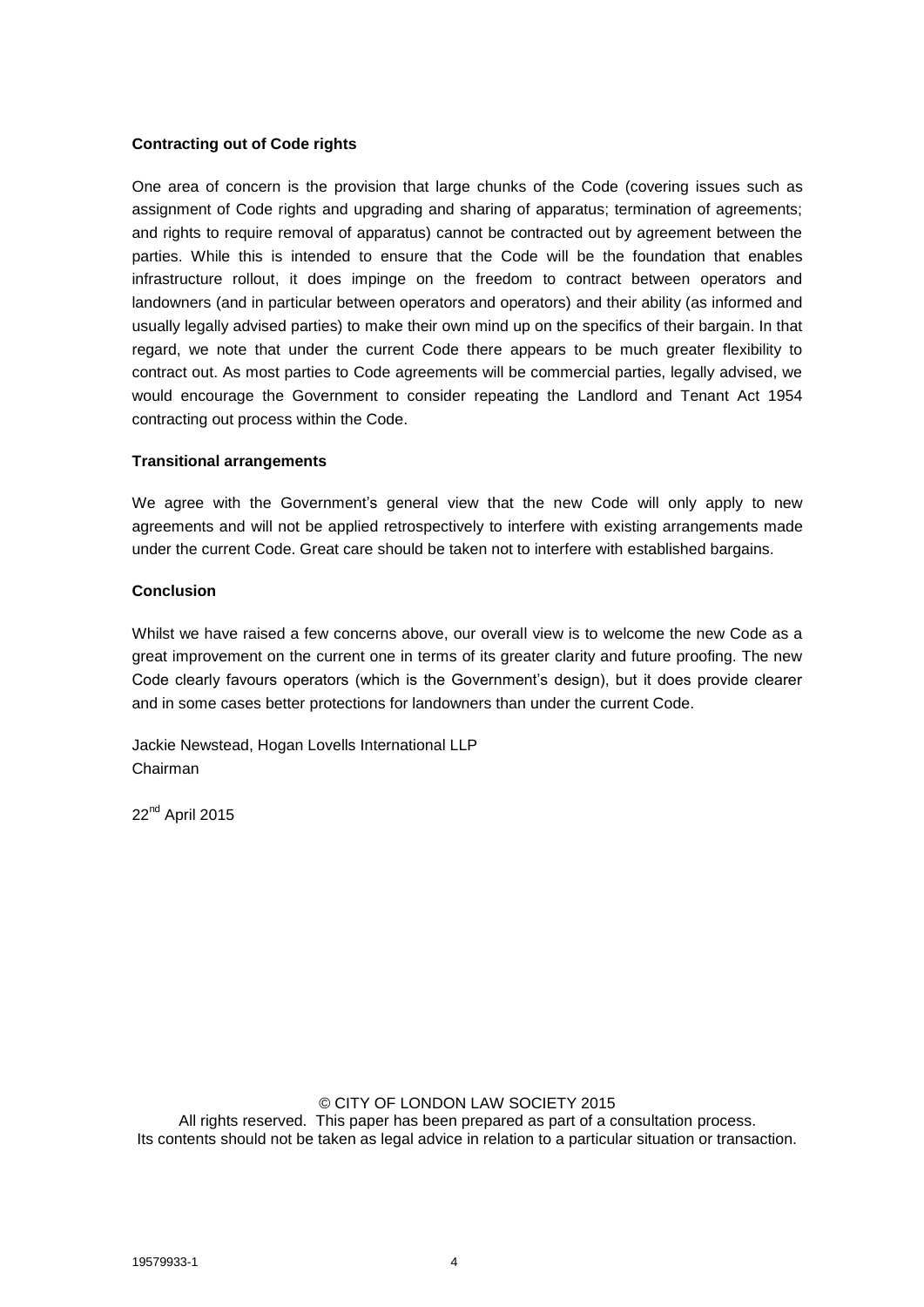#### **Contracting out of Code rights**

One area of concern is the provision that large chunks of the Code (covering issues such as assignment of Code rights and upgrading and sharing of apparatus; termination of agreements; and rights to require removal of apparatus) cannot be contracted out by agreement between the parties. While this is intended to ensure that the Code will be the foundation that enables infrastructure rollout, it does impinge on the freedom to contract between operators and landowners (and in particular between operators and operators) and their ability (as informed and usually legally advised parties) to make their own mind up on the specifics of their bargain. In that regard, we note that under the current Code there appears to be much greater flexibility to contract out. As most parties to Code agreements will be commercial parties, legally advised, we would encourage the Government to consider repeating the Landlord and Tenant Act 1954 contracting out process within the Code.

#### **Transitional arrangements**

We agree with the Government's general view that the new Code will only apply to new agreements and will not be applied retrospectively to interfere with existing arrangements made under the current Code. Great care should be taken not to interfere with established bargains.

#### **Conclusion**

Whilst we have raised a few concerns above, our overall view is to welcome the new Code as a great improvement on the current one in terms of its greater clarity and future proofing. The new Code clearly favours operators (which is the Government's design), but it does provide clearer and in some cases better protections for landowners than under the current Code.

Jackie Newstead, Hogan Lovells International LLP Chairman

22<sup>nd</sup> April 2015

#### © CITY OF LONDON LAW SOCIETY 2015

All rights reserved. This paper has been prepared as part of a consultation process. Its contents should not be taken as legal advice in relation to a particular situation or transaction.